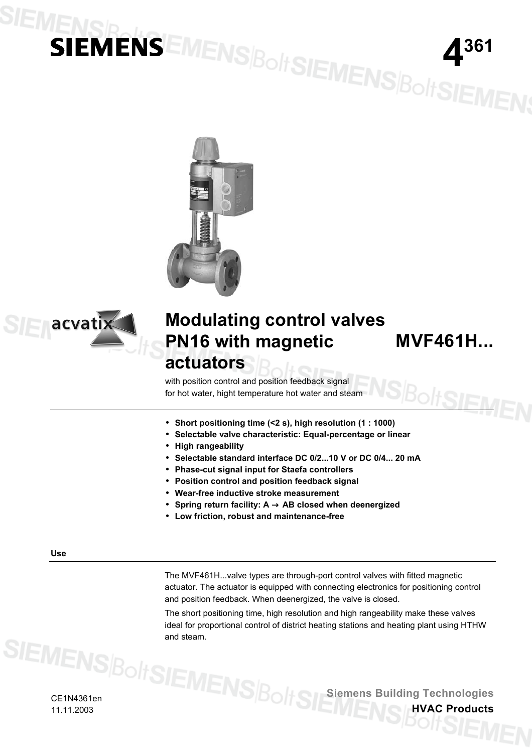# **IENSBENSEMENSBOHSIEMENSBOHSIEMEN**





# **Modulating control valves PN16 with magnetic actuators**

**MVF461H...**

Bolt**Sif**a

 with position control and position feedback signal for hot water, hight temperature hot water and steam

- **Short positioning time (<2 s), high resolution (1 : 1000)**
- **Selectable valve characteristic: Equal-percentage or linear**
- **High rangeability**
- **Selectable standard interface DC 0/2...10 V or DC 0/4... 20 mA**
- **Phase-cut signal input for Staefa controllers**
- **Position control and position feedback signal**
- **Wear-free inductive stroke measurement**
- **Spring return facility: A** → **AB closed when deenergized**
- **Low friction, robust and maintenance-free**

**Use** 

The MVF461H...valve types are through-port control valves with fitted magnetic actuator. The actuator is equipped with connecting electronics for positioning control and position feedback. When deenergized, the valve is closed.

The short positioning time, high resolution and high rangeability make these valves ideal for proportional control of district heating stations and heating plant using HTHW and steam.

CE1N4361en 11.11.2003

**Siemens Building Technologies**

**HVAC Products**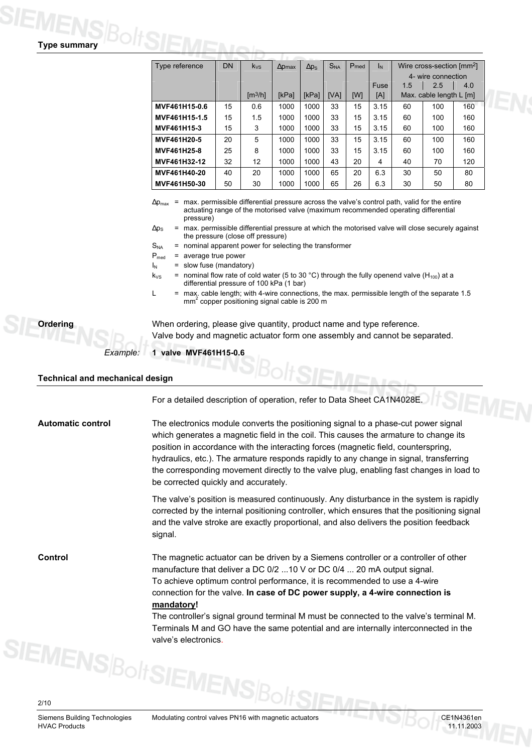| <b>Type summary</b> |  |
|---------------------|--|

| Type reference | <b>DN</b> | $k_{VS}$                | $\Delta$ <i>pmax</i> | $\Delta p_S$ | S <sub>NA</sub> | P <sub>med</sub> | ΙN          | Wire cross-section [mm <sup>2</sup> ] |                         |     |
|----------------|-----------|-------------------------|----------------------|--------------|-----------------|------------------|-------------|---------------------------------------|-------------------------|-----|
|                |           |                         |                      |              |                 |                  |             | 4- wire connection                    |                         |     |
|                |           |                         |                      |              |                 |                  | <b>Fuse</b> | 1.5                                   | 2.5                     | 4.0 |
|                |           | $\text{Im}^3/\text{hl}$ | <b>IkPal</b>         | <b>IkPal</b> | <b>IVAI</b>     | [W]              | [A]         |                                       | Max. cable length L [m] |     |
| MVF461H15-0.6  | 15        | 0.6                     | 1000                 | 1000         | 33              | 15               | 3.15        | 60                                    | 100                     | 160 |
| MVF461H15-1.5  | 15        | 1.5                     | 1000                 | 1000         | 33              | 15               | 3.15        | 60                                    | 100                     | 160 |
| MVF461H15-3    | 15        | 3                       | 1000                 | 1000         | 33              | 15               | 3.15        | 60                                    | 100                     | 160 |
| MVF461H20-5    | 20        | 5                       | 1000                 | 1000         | 33              | 15               | 3.15        | 60                                    | 100                     | 160 |
| MVF461H25-8    | 25        | 8                       | 1000                 | 1000         | 33              | 15               | 3.15        | 60                                    | 100                     | 160 |
| MVF461H32-12   | 32        | 12                      | 1000                 | 1000         | 43              | 20               | 4           | 40                                    | 70                      | 120 |
| MVF461H40-20   | 40        | 20                      | 1000                 | 1000         | 65              | 20               | 6.3         | 30                                    | 50                      | 80  |
| MVF461H50-30   | 50        | 30                      | 1000                 | 1000         | 65              | 26               | 6.3         | 30                                    | 50                      | 80  |

 $\Delta p_{\text{max}}$  = max. permissible differential pressure across the valve's control path, valid for the entire actuating range of the motorised valve (maximum recommended operating differential pressure)

 $\Delta p_S$  = max. permissible differential pressure at which the motorised valve will close securely against the pressure (close off pressure)

- $S_{NA}$  = nominal apparent power for selecting the transformer
- $P_{med}$  = average true power
- $I_N$  = slow fuse (mandatory)
- $k_{VS}$  = nominal flow rate of cold water (5 to 30 °C) through the fully openend valve (H<sub>100</sub>) at a differential pressure of 100 kPa (1 bar)
- $L =$  max. cable length; with 4-wire connections, the max. permissible length of the separate 1.5 mm<sup>2</sup> copper positioning signal cable is 200 m



When ordering, please give quantity, product name and type reference. Valve body and magnetic actuator form one assembly and cannot be separated.

### **1 valve MVF461H15-0.6** *Example:*

### **Technical and mechanical design**

For a detailed description of operation, refer to Data Sheet CA1N4028E.

The electronics module converts the positioning signal to a phase-cut power signal which generates a magnetic field in the coil. This causes the armature to change its position in accordance with the interacting forces (magnetic field, counterspring, hydraulics, etc.). The armature responds rapidly to any change in signal, transferring the corresponding movement directly to the valve plug, enabling fast changes in load to be corrected quickly and accurately. **Automatic control** 

> The valve's position is measured continuously. Any disturbance in the system is rapidly corrected by the internal positioning controller, which ensures that the positioning signal and the valve stroke are exactly proportional, and also delivers the position feedback signal.

**Control** 

The magnetic actuator can be driven by a Siemens controller or a controller of other manufacture that deliver a DC 0/2 ...10 V or DC 0/4 ... 20 mA output signal. To achieve optimum control performance, it is recommended to use a 4-wire connection for the valve. **In case of DC power supply, a 4-wire connection is mandatory!** 

The controller's signal ground terminal M must be connected to the valve's terminal M. Terminals M and GO have the same potential and are internally interconnected in the valve's electronics.

Siemens Building Technologies Modulating control valves PN16 with magnetic actuators CE1N4361en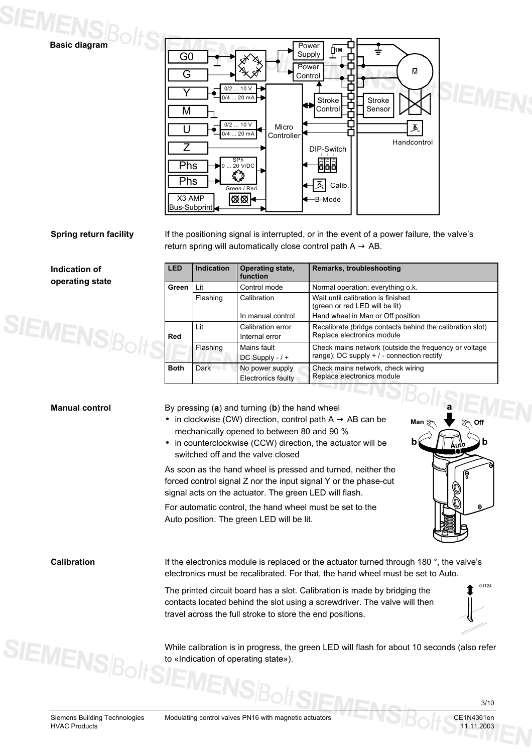



### **Spring return facility**

If the positioning signal is interrupted, or in the event of a power failure, the valve's return spring will automatically close control path  $A \rightarrow AB$ .

**Indication of operating state** 



| <b>LED</b>  | Indication | Operating state,<br>function                 | Remarks, troubleshooting                                                                            |
|-------------|------------|----------------------------------------------|-----------------------------------------------------------------------------------------------------|
| Green       | Lit        | Control mode                                 | Normal operation; everything o.k.                                                                   |
|             | Flashing   | Calibration                                  | Wait until calibration is finished<br>(green or red LED will be lit)                                |
|             |            | In manual control                            | Hand wheel in Man or Off position                                                                   |
| Red         | Lit        | Calibration error<br>Internal error          | Recalibrate (bridge contacts behind the calibration slot)<br>Replace electronics module             |
|             | Flashing   | Mains fault<br>DC Supply $-1$ +              | Check mains network (outside the frequency or voltage<br>range); DC supply $+/-$ connection rectify |
| <b>Both</b> | Dark       | No power supply<br><b>Electronics faulty</b> | Check mains network, check wiring<br>Replace electronics module                                     |

### **Manual control**

By pressing (**a**) and turning (**b**) the hand wheel

- in clockwise (CW) direction, control path  $A \rightarrow AB$  can be mechanically opened to between 80 and 90 %
- in counterclockwise (CCW) direction, the actuator will be switched off and the valve closed

As soon as the hand wheel is pressed and turned, neither the forced control signal Z nor the input signal Y or the phase-cut signal acts on the actuator. The green LED will flash.

For automatic control, the hand wheel must be set to the Auto position. The green LED will be lit.



**Calibration** 

**SIEMENS**Bol

If the electronics module is replaced or the actuator turned through 180 °, the valve's electronics must be recalibrated. For that, the hand wheel must be set to Auto.

The printed circuit board has a slot. Calibration is made by bridging the contacts located behind the slot using a screwdriver. The valve will then travel across the full stroke to store the end positions.

01124

While calibration is in progress, the green LED will flash for about 10 seconds (also refer to «Indication of operating state»).

Siemens Building Technologies Modulating control valves PN16 with magnetic actuators CE1N4361en

3/10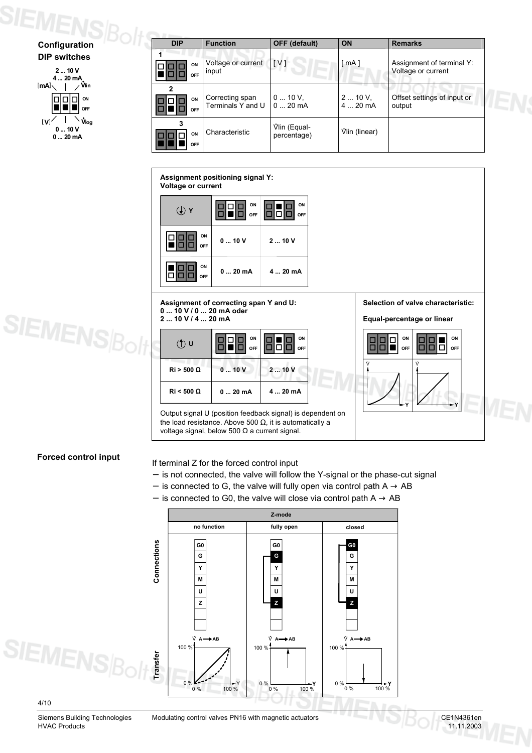

| <b>DIP</b>     | <b>Function</b>                      | <b>OFF</b> (default)        | ON                   | <b>Remarks</b>                                  |
|----------------|--------------------------------------|-----------------------------|----------------------|-------------------------------------------------|
| ON<br>OFF      | Voltage or current<br>input          | IV1                         | [ mA ]               | Assignment of terminal Y:<br>Voltage or current |
| 2<br>ON<br>OFF | Correcting span<br>Terminals Y and U | $010V$ ,<br>$020$ mA        | $210V$ ,<br>$420$ mA | Offset settings of input or<br>output           |
| ON<br>OFF      | Characteristic                       | Vlin (Equal-<br>percentage) | Viin (linear)        |                                                 |

### **Assignment positioning signal Y: Voltage or current W ON ON** П 661 ō **OFF OFF** П г **ON 0 ... 10 V 2 ... 10 V** o п **OFF ON**  $0 \dots 20$  mA  $4 \dots 20$  mA In  $\Box$ n **OFF Selection of valve characteristic: Assignment of correcting span Y and U: 0 ... 10 V / 0 ... 20 mA oder SIEMENS**Bolt **2 ... 10 V / 4 ... 20 mA Equal-percentage or linear ON ON OFF <sup>U</sup> ON ON** п ■ П ō  $\Omega$ F  $\Box$  $\blacksquare$ **OFF** п  $\overline{a}$ П . . V V **Ri > 500** Ω **0 ... 10 V 2 ... 10 V**

Output signal U (position feedback signal) is dependent on the load resistance. Above 500  $Ω$ , it is automatically a voltage signal, below 500 Ω a current signal.

**0 ... 20 mA 4 ... 20 mA**

## **Forced control input**

### If terminal Z for the forced control input

**Ri < 500** Ω

- − is not connected, the valve will follow the Y-signal or the phase-cut signal
- − is connected to G, the valve will fully open via control path  $A \rightarrow AB$
- − is connected to G0, the valve will close via control path A → AB





**Y**

**Y**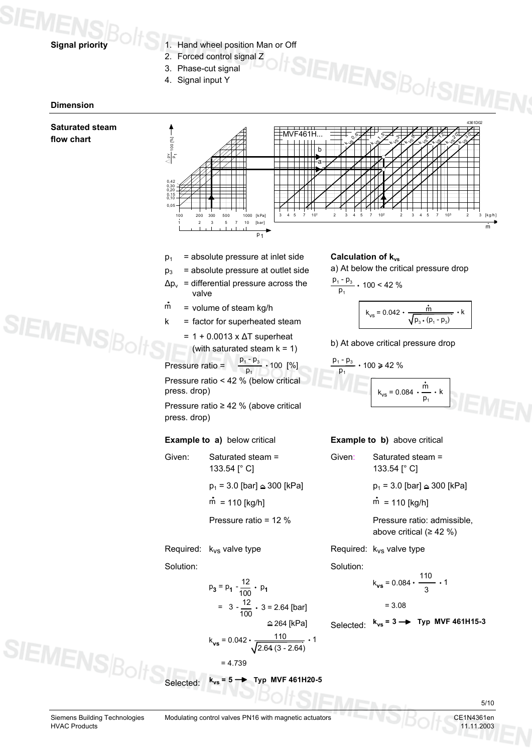

- 1. Hand wheel position Man or Off
- 2. Forced control signal Z
- 3. Phase-cut signal
- 4. Signal input Y

### **Dimension**

### **Saturated steam flow chart**



- $p_1$  = absolute pressure at inlet side
- $p_3$  = absolute pressure at outlet side
- $\Delta p_v$  = differential pressure across the valve
- $\dot{m}$  = volume of steam kg/h
- $k =$  factor for superheated steam
	- = 1 + 0.0013 x ∆T superheat (with saturated steam  $k = 1$ ) b) At above critical pressure drop

Pressure ratio =  $\overline{p}_4$  $.100 [%]$ Pressure ratio < 42 % (below critical press. drop)

Pressure ratio ≥ 42 % (above critical press. drop)

### **Example to a)** below critical

Given: Saturated steam = 133.54 [° C]  $p_1 = 3.0$  [bar]  $\approx 300$  [kPa]  $m = 110$  [kg/h] Pressure ratio = 12 %

Required:  $k_{VS}$  valve type

Solution:

$$
p_3 = p_1 - \frac{12}{100} \cdot p_1
$$
  
= 3 -  $\frac{12}{100} \cdot 3 = 2.64$  [bar]  

$$
\approx 264
$$
 [kPa]  

$$
k_{\text{vs}} = 0.042 \cdot \frac{110}{\sqrt{100}} = 0.042 \cdot \frac{110}{\sqrt{100}} = 0.042 \cdot \frac{110}{\sqrt{100}} = 0.042 \cdot \frac{110}{\sqrt{100}} = 0.042 \cdot \frac{110}{\sqrt{100}} = 0.042 \cdot \frac{110}{\sqrt{100}} = 0.042 \cdot \frac{110}{\sqrt{100}} = 0.042 \cdot \frac{110}{\sqrt{100}} = 0.042 \cdot \frac{110}{\sqrt{100}} = 0.042 \cdot \frac{110}{\sqrt{100}} = 0.042 \cdot \frac{110}{\sqrt{100}} = 0.042 \cdot \frac{110}{\sqrt{100}} = 0.042 \cdot \frac{110}{\sqrt{100}} = 0.042 \cdot \frac{110}{\sqrt{100}} = 0.042 \cdot \frac{110}{\sqrt{100}} = 0.042 \cdot \frac{110}{\sqrt{100}} = 0.042 \cdot \frac{110}{\sqrt{100}} = 0.042 \cdot \frac{110}{\sqrt{100}} = 0.042 \cdot \frac{110}{\sqrt{100}} = 0.042 \cdot \frac{110}{\sqrt{100}} = 0.042 \cdot \frac{110}{\sqrt{100}} = 0.042 \cdot \frac{110}{\sqrt{100}} = 0.042 \cdot \frac{110}{\sqrt{100}} = 0.042 \cdot \frac{110}{\sqrt{100}} = 0.042 \cdot \frac{110}{\sqrt{100}} = 0.042 \cdot \frac{110}{\sqrt{100}} = 0.042 \cdot \frac{110}{\sqrt{100}} = 0.042 \cdot \frac{110}{\sqrt{100}} = 0.042 \cdot \frac{110}{\sqrt{100}}
$$

$$
k_{\text{vs}} = 0.042 \cdot \frac{110}{\sqrt{2.64 (3 - 2.64)}} \cdot 1
$$

$$
= 4.739
$$

$$
Selected: \quad k_{vs} = 5 \rightarrow \quad \text{Typ MVF 461H20-5}
$$

# **Calculation of k<sub>vs</sub>**

a) At below the critical pressure drop

**IEMENSBoltSIE** 

$$
\frac{p_1 - p_3}{p_1} \cdot 100 < 42 \%
$$

$$
k_{vs} = 0.042 \cdot \frac{\dot{m}}{\sqrt{p_{3} \cdot (p_{1} - p_{3})}} \cdot k
$$

$$
\frac{p_1 - p_3}{p_1} \cdot 100 \ge 42\%
$$
  

$$
k_{vs} = 0.084 \cdot \frac{\dot{m}}{p_1} \cdot k
$$

# **Example to b)** above critical

| Given: | Saturated steam =<br>133.54 [° C]        |
|--------|------------------------------------------|
|        | $p_1$ = 3.0 [bar] $\triangleq$ 300 [kPa] |
|        | $\dot{m}$ = 110 [kg/h]                   |
|        | Pressure ratio: admissible,              |

above critical ( $\geq 42$  %)

Required:  $k_{VS}$  valve type

Solution:

$$
k_{vs} = 0.084 \cdot \frac{110}{3} \cdot 1
$$

= 3.08

Selected:  $= 3 \rightarrow \text{Typ}$  MVF 461H15-3

```
SIEMENSE
```
5/10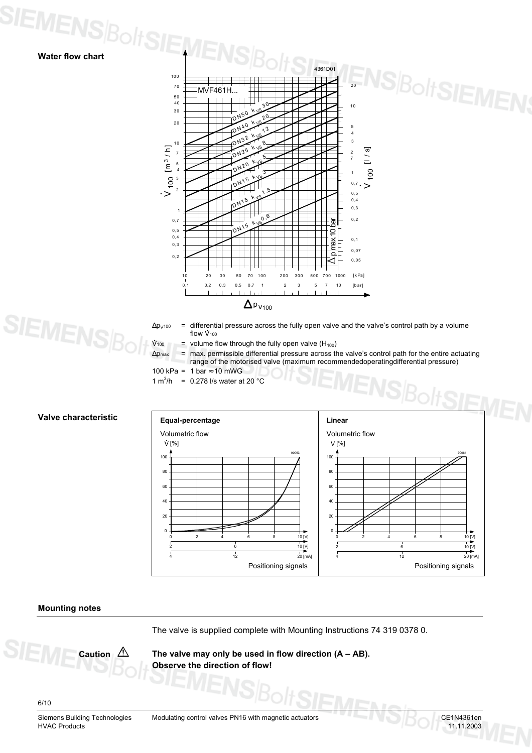

- $Δp<sub>V100</sub> =$  differential pressure across the fully open valve and the valve's control path by a volume flow  $V_{100}$
- $V_{100}$  = volume flow through the fully open valve (H<sub>100</sub>)
- $Δp<sub>max</sub>$  = max. permissible differential pressure across the valve's control path for the entire actuating
	- range of the motorised valve (maximum recommendedoperatingdifferential pressure)

100 kPa = 1 bar  $\approx$  10 mWG

1 m<sup>3</sup>/h = 0.278 l/s water at 20  $^{\circ}$ C



### **Equal-percentage Linear Accord Linear Requal-percentage Accord Linear Accord Linear** Volumetric flow 10 [V]  $\overline{10}$  [V]  $\frac{1}{20}$  [mA] 0 2 4 6 8 2  $\frac{1}{4}$ 100 80 60 40 20 0  $V$  [%] 90063 6  $\frac{1}{12}$ Volumetric flow 10 [V]  $10$  [V]  $20$  [mA] 0 2 4 6 8 2 4 100 80 60 40 20  $\overline{0}$  $V$  [%] 90064 6  $\frac{1}{12}$ Positioning signals **Positioning** signals

### **Mounting notes**

The valve is supplied complete with Mounting Instructions 74 319 0378 0.

**The valve may only be used in flow direction (A – AB). Observe the direction of flow!**

6/10

Siemens Building Technologies Modulating control valves PN16 with magnetic actuators CE1N4361en<br>HVAC Products 11.11.2003

**Caution**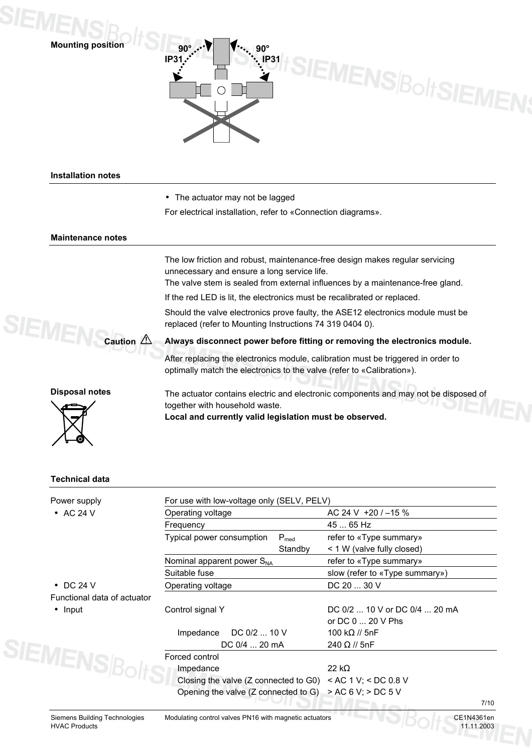

90° **90°** 90° SIEMENS Bolt SIEMENS **IP31 IP31**

## **Installation notes**

- The actuator may not be lagged
- For electrical installation, refer to «Connection diagrams».

### **Maintenance notes**

The low friction and robust, maintenance-free design makes regular servicing unnecessary and ensure a long service life.

The valve stem is sealed from external influences by a maintenance-free gland.

If the red LED is lit, the electronics must be recalibrated or replaced.

Should the valve electronics prove faulty, the ASE12 electronics module must be replaced (refer to Mounting Instructions 74 319 0404 0).



### **Always disconnect power before fitting or removing the electronics module.**

After replacing the electronics module, calibration must be triggered in order to optimally match the electronics to the valve (refer to «Calibration»).





**Disposal notes** The actuator contains electric and electronic components and may not be disposed of together with household waste.

**Local and currently valid legislation must be observed.**

### **Technical data**

| Power supply                       | For use with low-voltage only (SELV, PELV)                           |           |                                |      |  |  |  |
|------------------------------------|----------------------------------------------------------------------|-----------|--------------------------------|------|--|--|--|
| $\bullet$ AC 24 V                  | Operating voltage                                                    |           | AC 24 V $+20$ / $-15$ %        |      |  |  |  |
|                                    | Frequency                                                            |           | 45  65 Hz                      |      |  |  |  |
|                                    | Typical power consumption                                            | $P_{med}$ | refer to «Type summary»        |      |  |  |  |
|                                    |                                                                      | Standby   | < 1 W (valve fully closed)     |      |  |  |  |
|                                    | Nominal apparent power $S_{NA}$                                      |           | refer to «Type summary»        |      |  |  |  |
|                                    | Suitable fuse                                                        |           | slow (refer to «Type summary») |      |  |  |  |
| $\bullet$ DC 24 V                  | Operating voltage                                                    |           | DC 20  30 V                    |      |  |  |  |
| Functional data of actuator        |                                                                      |           |                                |      |  |  |  |
| $\bullet$ Input                    | Control signal Y                                                     |           | DC 0/2  10 V or DC 0/4  20 mA  |      |  |  |  |
|                                    |                                                                      |           | or DC $0 \dots 20$ V Phs       |      |  |  |  |
|                                    | DC $0/2$ 10 V<br>Impedance                                           |           | 100 k $\Omega$ // 5nF          |      |  |  |  |
|                                    | DC 0/4  20 mA                                                        |           | 240 $\Omega$ // 5nF            |      |  |  |  |
| $\mathsf{\Xi}$ MENS $_{B \circ H}$ | Forced control                                                       |           |                                |      |  |  |  |
|                                    | Impedance                                                            |           | 22 k $\Omega$                  |      |  |  |  |
|                                    | Closing the valve (Z connected to G0) $\leq$ AC 1 V; $\leq$ DC 0.8 V |           |                                |      |  |  |  |
|                                    | Opening the valve (Z connected to G) $> AC 6 V$ ; $> DC 5 V$         |           |                                |      |  |  |  |
|                                    |                                                                      |           |                                | 7/10 |  |  |  |

Siemens Building Technologies Modulating control valves PN16 with magnetic actuators CE1N4361en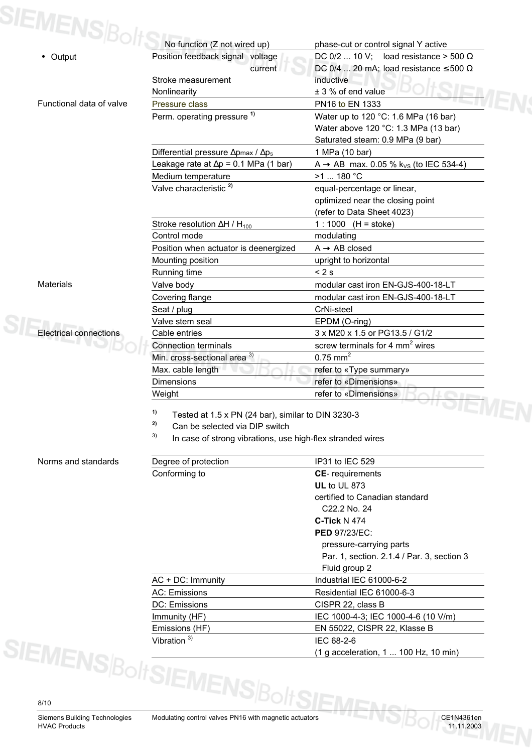| SIEMENS B <sub>O</sub> I      | No function (Z not wired up)                                                                                                                                         | phase-cut or control signal Y active                                                                             |  |  |  |
|-------------------------------|----------------------------------------------------------------------------------------------------------------------------------------------------------------------|------------------------------------------------------------------------------------------------------------------|--|--|--|
| • Output                      | Position feedback signal voltage<br>current                                                                                                                          | DC 0/2  10 V; load resistance > 500 $\Omega$<br>DC 0/4  20 mA; load resistance $\leq$ 500 $\Omega$               |  |  |  |
|                               | Stroke measurement                                                                                                                                                   | inductive                                                                                                        |  |  |  |
|                               | Nonlinearity                                                                                                                                                         | ± 3 % of end value                                                                                               |  |  |  |
| Functional data of valve      | Pressure class                                                                                                                                                       | PN16 to EN 1333                                                                                                  |  |  |  |
|                               | Perm. operating pressure <sup>1)</sup>                                                                                                                               | Water up to 120 °C: 1.6 MPa (16 bar)<br>Water above 120 °C: 1.3 MPa (13 bar)<br>Saturated steam: 0.9 MPa (9 bar) |  |  |  |
|                               | Differential pressure $\Delta p$ max / $\Delta p$ <sub>s</sub>                                                                                                       | 1 MPa (10 bar)                                                                                                   |  |  |  |
|                               | Leakage rate at $\Delta p = 0.1$ MPa (1 bar)                                                                                                                         | A $\rightarrow$ AB max. 0.05 % k <sub>Vs</sub> (to IEC 534-4)                                                    |  |  |  |
|                               | Medium temperature                                                                                                                                                   | >1  180 °C                                                                                                       |  |  |  |
|                               | Valve characteristic <sup>2)</sup>                                                                                                                                   | equal-percentage or linear,                                                                                      |  |  |  |
|                               |                                                                                                                                                                      | optimized near the closing point<br>(refer to Data Sheet 4023)                                                   |  |  |  |
|                               | Stroke resolution $\Delta H / H_{100}$                                                                                                                               | $1:1000$ (H = stoke)                                                                                             |  |  |  |
|                               | Control mode                                                                                                                                                         | modulating                                                                                                       |  |  |  |
|                               | Position when actuator is deenergized                                                                                                                                | $A \rightarrow AB$ closed                                                                                        |  |  |  |
|                               | Mounting position                                                                                                                                                    | upright to horizontal                                                                                            |  |  |  |
|                               | Running time                                                                                                                                                         | < 2s                                                                                                             |  |  |  |
| <b>Materials</b>              | Valve body                                                                                                                                                           | modular cast iron EN-GJS-400-18-LT                                                                               |  |  |  |
|                               | Covering flange                                                                                                                                                      | modular cast iron EN-GJS-400-18-LT                                                                               |  |  |  |
|                               | Seat / plug                                                                                                                                                          | CrNi-steel                                                                                                       |  |  |  |
|                               | Valve stem seal                                                                                                                                                      | EPDM (O-ring)                                                                                                    |  |  |  |
| <b>Electrical connections</b> | Cable entries                                                                                                                                                        | 3 x M20 x 1.5 or PG13.5 / G1/2                                                                                   |  |  |  |
|                               | <b>Connection terminals</b>                                                                                                                                          | screw terminals for 4 $mm2$ wires                                                                                |  |  |  |
|                               | Min. cross-sectional area <sup>3)</sup>                                                                                                                              | $0.75$ mm <sup>2</sup>                                                                                           |  |  |  |
|                               | Max. cable length                                                                                                                                                    | refer to «Type summary»                                                                                          |  |  |  |
|                               | <b>Dimensions</b>                                                                                                                                                    | refer to «Dimensions»                                                                                            |  |  |  |
|                               | Weight                                                                                                                                                               | refer to «Dimensions»                                                                                            |  |  |  |
|                               | 1)<br>Tested at 1.5 x PN (24 bar), similar to DIN 3230-3<br>2)<br>Can be selected via DIP switch<br>3)<br>In case of strong vibrations, use high-flex stranded wires |                                                                                                                  |  |  |  |

### Norms and standards

| Norms and standards                        | Degree of protection    | IP31 to IEC 529                            |  |  |  |  |
|--------------------------------------------|-------------------------|--------------------------------------------|--|--|--|--|
|                                            | Conforming to           | <b>CE-</b> requirements                    |  |  |  |  |
|                                            |                         | <b>UL</b> to UL 873                        |  |  |  |  |
|                                            |                         | certified to Canadian standard             |  |  |  |  |
|                                            |                         | C <sub>22</sub> .2 No. 24                  |  |  |  |  |
|                                            |                         | $C$ -Tick N 474                            |  |  |  |  |
|                                            |                         | <b>PED 97/23/EC:</b>                       |  |  |  |  |
|                                            |                         | pressure-carrying parts                    |  |  |  |  |
|                                            |                         | Par. 1, section. 2.1.4 / Par. 3, section 3 |  |  |  |  |
|                                            |                         | Fluid group 2                              |  |  |  |  |
|                                            | $AC + DC:$ Immunity     | Industrial IEC 61000-6-2                   |  |  |  |  |
|                                            | AC: Emissions           | Residential IEC 61000-6-3                  |  |  |  |  |
|                                            | DC: Emissions           | CISPR 22, class B                          |  |  |  |  |
|                                            | Immunity (HF)           | IEC 1000-4-3; IEC 1000-4-6 (10 V/m)        |  |  |  |  |
|                                            | Emissions (HF)          | EN 55022, CISPR 22, Klasse B<br>IEC 68-2-6 |  |  |  |  |
|                                            | Vibration <sup>3)</sup> |                                            |  |  |  |  |
| $\mathbf{A}$ , $\mathbf{A}$ , $\mathbf{A}$ |                         | (1 g acceleration, 1  100 Hz, 10 min)      |  |  |  |  |

Siemens Building Technologies Modulating control valves PN16 with magnetic actuators CE1N4361en<br>HVAC Products 11.11.2003 **HVAC Products**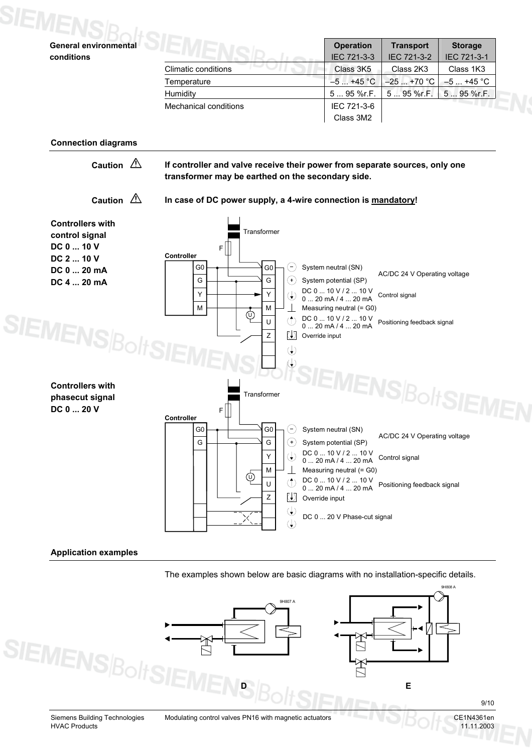

### **Application examples**

The examples shown below are basic diagrams with no installation-specific details.



9/10

9H808 A